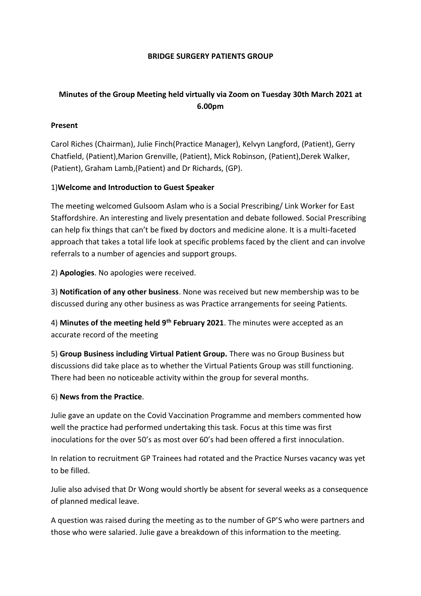#### **BRIDGE SURGERY PATIENTS GROUP**

# **Minutes of the Group Meeting held virtually via Zoom on Tuesday 30th March 2021 at 6.00pm**

### **Present**

Carol Riches (Chairman), Julie Finch(Practice Manager), Kelvyn Langford, (Patient), Gerry Chatfield, (Patient),Marion Grenville, (Patient), Mick Robinson, (Patient),Derek Walker, (Patient), Graham Lamb,(Patient) and Dr Richards, (GP).

#### 1)**Welcome and Introduction to Guest Speaker**

The meeting welcomed Gulsoom Aslam who is a Social Prescribing/ Link Worker for East Staffordshire. An interesting and lively presentation and debate followed. Social Prescribing can help fix things that can't be fixed by doctors and medicine alone. It is a multi-faceted approach that takes a total life look at specific problems faced by the client and can involve referrals to a number of agencies and support groups.

2) **Apologies**. No apologies were received.

3) **Notification of any other business**. None was received but new membership was to be discussed during any other business as was Practice arrangements for seeing Patients.

4) **Minutes of the meeting held 9th February 2021**. The minutes were accepted as an accurate record of the meeting

5) **Group Business including Virtual Patient Group.** There was no Group Business but discussions did take place as to whether the Virtual Patients Group was still functioning. There had been no noticeable activity within the group for several months.

## 6) **News from the Practice**.

Julie gave an update on the Covid Vaccination Programme and members commented how well the practice had performed undertaking this task. Focus at this time was first inoculations for the over 50's as most over 60's had been offered a first innoculation.

In relation to recruitment GP Trainees had rotated and the Practice Nurses vacancy was yet to be filled.

Julie also advised that Dr Wong would shortly be absent for several weeks as a consequence of planned medical leave.

A question was raised during the meeting as to the number of GP'S who were partners and those who were salaried. Julie gave a breakdown of this information to the meeting.